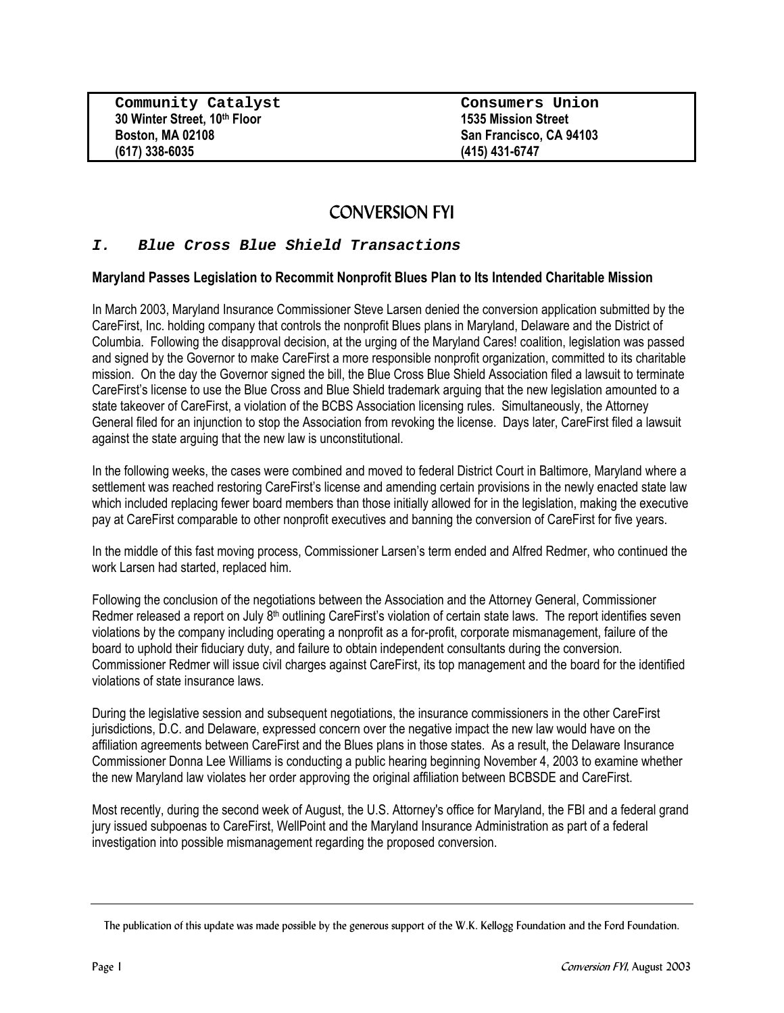**Community Catalyst Consumers Union 30 Winter Street, 10<sup>th</sup> Floor 1535 Mission Street Boston, MA 02108 1535 Mission Street Boston, MA 02108 (617) 338-6035 (415) 431-6747**

**San Francisco, CA 94103** 

# CONVERSION FYI

## **I. Blue Cross Blue Shield Transactions**

#### **Maryland Passes Legislation to Recommit Nonprofit Blues Plan to Its Intended Charitable Mission**

In March 2003, Maryland Insurance Commissioner Steve Larsen denied the conversion application submitted by the CareFirst, Inc. holding company that controls the nonprofit Blues plans in Maryland, Delaware and the District of Columbia. Following the disapproval decision, at the urging of the Maryland Cares! coalition, legislation was passed and signed by the Governor to make CareFirst a more responsible nonprofit organization, committed to its charitable mission. On the day the Governor signed the bill, the Blue Cross Blue Shield Association filed a lawsuit to terminate CareFirst's license to use the Blue Cross and Blue Shield trademark arguing that the new legislation amounted to a state takeover of CareFirst, a violation of the BCBS Association licensing rules. Simultaneously, the Attorney General filed for an injunction to stop the Association from revoking the license. Days later, CareFirst filed a lawsuit against the state arguing that the new law is unconstitutional.

In the following weeks, the cases were combined and moved to federal District Court in Baltimore, Maryland where a settlement was reached restoring CareFirst's license and amending certain provisions in the newly enacted state law which included replacing fewer board members than those initially allowed for in the legislation, making the executive pay at CareFirst comparable to other nonprofit executives and banning the conversion of CareFirst for five years.

In the middle of this fast moving process, Commissioner Larsen's term ended and Alfred Redmer, who continued the work Larsen had started, replaced him.

Following the conclusion of the negotiations between the Association and the Attorney General, Commissioner Redmer released a report on July 8<sup>th</sup> outlining CareFirst's violation of certain state laws. The report identifies seven violations by the company including operating a nonprofit as a for-profit, corporate mismanagement, failure of the board to uphold their fiduciary duty, and failure to obtain independent consultants during the conversion. Commissioner Redmer will issue civil charges against CareFirst, its top management and the board for the identified violations of state insurance laws.

During the legislative session and subsequent negotiations, the insurance commissioners in the other CareFirst jurisdictions, D.C. and Delaware, expressed concern over the negative impact the new law would have on the affiliation agreements between CareFirst and the Blues plans in those states. As a result, the Delaware Insurance Commissioner Donna Lee Williams is conducting a public hearing beginning November 4, 2003 to examine whether the new Maryland law violates her order approving the original affiliation between BCBSDE and CareFirst.

Most recently, during the second week of August, the U.S. Attorney's office for Maryland, the FBI and a federal grand jury issued subpoenas to CareFirst, WellPoint and the Maryland Insurance Administration as part of a federal investigation into possible mismanagement regarding the proposed conversion.

The publication of this update was made possible by the generous support of the W.K. Kellogg Foundation and the Ford Foundation.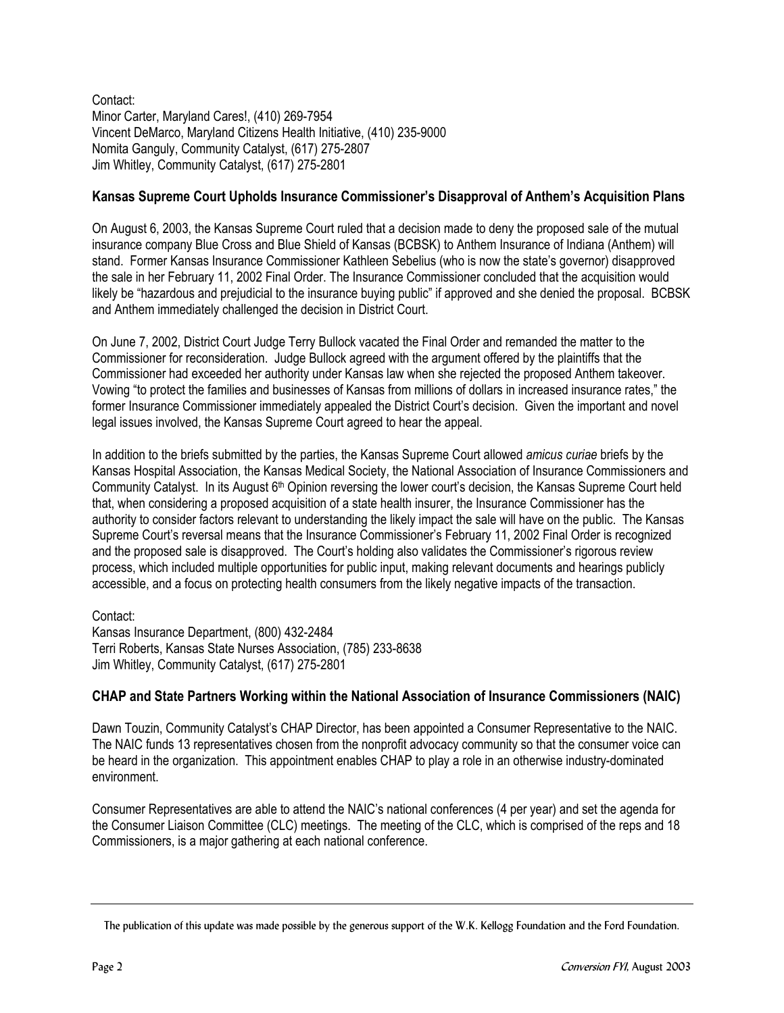Contact: Minor Carter, Maryland Cares!, (410) 269-7954 Vincent DeMarco, Maryland Citizens Health Initiative, (410) 235-9000 Nomita Ganguly, Community Catalyst, (617) 275-2807 Jim Whitley, Community Catalyst, (617) 275-2801

## **Kansas Supreme Court Upholds Insurance Commissioner's Disapproval of Anthem's Acquisition Plans**

On August 6, 2003, the Kansas Supreme Court ruled that a decision made to deny the proposed sale of the mutual insurance company Blue Cross and Blue Shield of Kansas (BCBSK) to Anthem Insurance of Indiana (Anthem) will stand. Former Kansas Insurance Commissioner Kathleen Sebelius (who is now the state's governor) disapproved the sale in her February 11, 2002 Final Order. The Insurance Commissioner concluded that the acquisition would likely be "hazardous and prejudicial to the insurance buying public" if approved and she denied the proposal. BCBSK and Anthem immediately challenged the decision in District Court.

On June 7, 2002, District Court Judge Terry Bullock vacated the Final Order and remanded the matter to the Commissioner for reconsideration. Judge Bullock agreed with the argument offered by the plaintiffs that the Commissioner had exceeded her authority under Kansas law when she rejected the proposed Anthem takeover. Vowing "to protect the families and businesses of Kansas from millions of dollars in increased insurance rates," the former Insurance Commissioner immediately appealed the District Court's decision. Given the important and novel legal issues involved, the Kansas Supreme Court agreed to hear the appeal.

In addition to the briefs submitted by the parties, the Kansas Supreme Court allowed *amicus curiae* briefs by the Kansas Hospital Association, the Kansas Medical Society, the National Association of Insurance Commissioners and Community Catalyst. In its August 6th Opinion reversing the lower court's decision, the Kansas Supreme Court held that, when considering a proposed acquisition of a state health insurer, the Insurance Commissioner has the authority to consider factors relevant to understanding the likely impact the sale will have on the public. The Kansas Supreme Court's reversal means that the Insurance Commissioner's February 11, 2002 Final Order is recognized and the proposed sale is disapproved. The Court's holding also validates the Commissioner's rigorous review process, which included multiple opportunities for public input, making relevant documents and hearings publicly accessible, and a focus on protecting health consumers from the likely negative impacts of the transaction.

#### Contact:

Kansas Insurance Department, (800) 432-2484 Terri Roberts, Kansas State Nurses Association, (785) 233-8638 Jim Whitley, Community Catalyst, (617) 275-2801

## **CHAP and State Partners Working within the National Association of Insurance Commissioners (NAIC)**

Dawn Touzin, Community Catalyst's CHAP Director, has been appointed a Consumer Representative to the NAIC. The NAIC funds 13 representatives chosen from the nonprofit advocacy community so that the consumer voice can be heard in the organization. This appointment enables CHAP to play a role in an otherwise industry-dominated environment.

Consumer Representatives are able to attend the NAIC's national conferences (4 per year) and set the agenda for the Consumer Liaison Committee (CLC) meetings. The meeting of the CLC, which is comprised of the reps and 18 Commissioners, is a major gathering at each national conference.

The publication of this update was made possible by the generous support of the W.K. Kellogg Foundation and the Ford Foundation.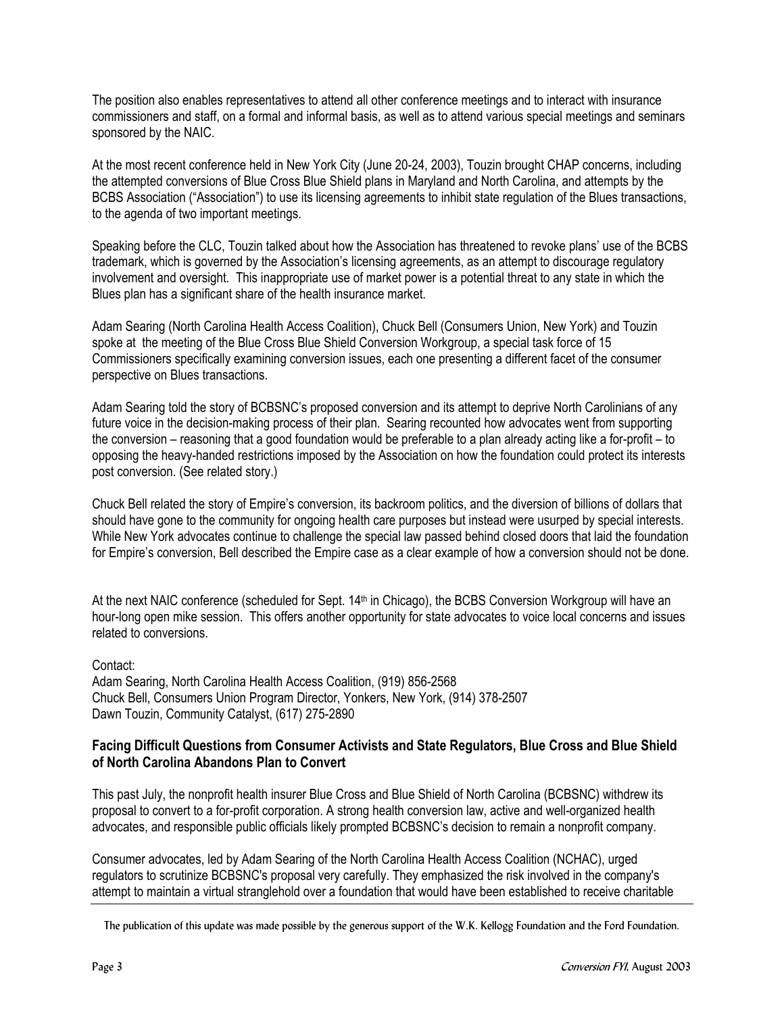The position also enables representatives to attend all other conference meetings and to interact with insurance commissioners and staff, on a formal and informal basis, as well as to attend various special meetings and seminars sponsored by the NAIC.

At the most recent conference held in New York City (June 20-24, 2003), Touzin brought CHAP concerns, including the attempted conversions of Blue Cross Blue Shield plans in Maryland and North Carolina, and attempts by the BCBS Association ("Association") to use its licensing agreements to inhibit state regulation of the Blues transactions, to the agenda of two important meetings.

Speaking before the CLC, Touzin talked about how the Association has threatened to revoke plans' use of the BCBS trademark, which is governed by the Association's licensing agreements, as an attempt to discourage regulatory involvement and oversight. This inappropriate use of market power is a potential threat to any state in which the Blues plan has a significant share of the health insurance market.

Adam Searing (North Carolina Health Access Coalition), Chuck Bell (Consumers Union, New York) and Touzin spoke at the meeting of the Blue Cross Blue Shield Conversion Workgroup, a special task force of 15 Commissioners specifically examining conversion issues, each one presenting a different facet of the consumer perspective on Blues transactions.

Adam Searing told the story of BCBSNC's proposed conversion and its attempt to deprive North Carolinians of any future voice in the decision-making process of their plan. Searing recounted how advocates went from supporting the conversion – reasoning that a good foundation would be preferable to a plan already acting like a for-profit – to opposing the heavy-handed restrictions imposed by the Association on how the foundation could protect its interests post conversion. (See related story.)

Chuck Bell related the story of Empire's conversion, its backroom politics, and the diversion of billions of dollars that should have gone to the community for ongoing health care purposes but instead were usurped by special interests. While New York advocates continue to challenge the special law passed behind closed doors that laid the foundation for Empire's conversion, Bell described the Empire case as a clear example of how a conversion should not be done.

At the next NAIC conference (scheduled for Sept. 14<sup>th</sup> in Chicago), the BCBS Conversion Workgroup will have an hour-long open mike session. This offers another opportunity for state advocates to voice local concerns and issues related to conversions.

## Contact:

Adam Searing, North Carolina Health Access Coalition, (919) 856-2568 Chuck Bell, Consumers Union Program Director, Yonkers, New York, (914) 378-2507 Dawn Touzin, Community Catalyst, (617) 275-2890

#### **Facing Difficult Questions from Consumer Activists and State Regulators, Blue Cross and Blue Shield of North Carolina Abandons Plan to Convert**

This past July, the nonprofit health insurer Blue Cross and Blue Shield of North Carolina (BCBSNC) withdrew its proposal to convert to a for-profit corporation. A strong health conversion law, active and well-organized health advocates, and responsible public officials likely prompted BCBSNC's decision to remain a nonprofit company.

Consumer advocates, led by Adam Searing of the North Carolina Health Access Coalition (NCHAC), urged regulators to scrutinize BCBSNC's proposal very carefully. They emphasized the risk involved in the company's attempt to maintain a virtual stranglehold over a foundation that would have been established to receive charitable

The publication of this update was made possible by the generous support of the W.K. Kellogg Foundation and the Ford Foundation.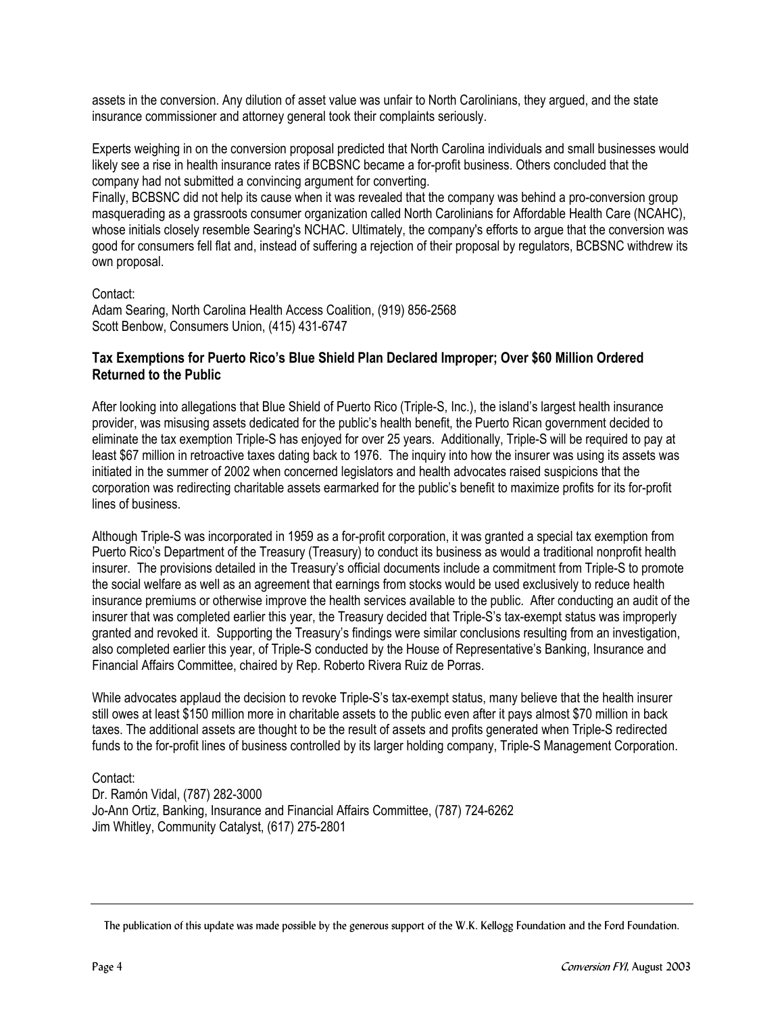assets in the conversion. Any dilution of asset value was unfair to North Carolinians, they argued, and the state insurance commissioner and attorney general took their complaints seriously.

Experts weighing in on the conversion proposal predicted that North Carolina individuals and small businesses would likely see a rise in health insurance rates if BCBSNC became a for-profit business. Others concluded that the company had not submitted a convincing argument for converting.

Finally, BCBSNC did not help its cause when it was revealed that the company was behind a pro-conversion group masquerading as a grassroots consumer organization called North Carolinians for Affordable Health Care (NCAHC), whose initials closely resemble Searing's NCHAC. Ultimately, the company's efforts to argue that the conversion was good for consumers fell flat and, instead of suffering a rejection of their proposal by regulators, BCBSNC withdrew its own proposal.

#### Contact:

Adam Searing, North Carolina Health Access Coalition, (919) 856-2568 Scott Benbow, Consumers Union, (415) 431-6747

#### **Tax Exemptions for Puerto Rico's Blue Shield Plan Declared Improper; Over \$60 Million Ordered Returned to the Public**

After looking into allegations that Blue Shield of Puerto Rico (Triple-S, Inc.), the island's largest health insurance provider, was misusing assets dedicated for the public's health benefit, the Puerto Rican government decided to eliminate the tax exemption Triple-S has enjoyed for over 25 years. Additionally, Triple-S will be required to pay at least \$67 million in retroactive taxes dating back to 1976. The inquiry into how the insurer was using its assets was initiated in the summer of 2002 when concerned legislators and health advocates raised suspicions that the corporation was redirecting charitable assets earmarked for the public's benefit to maximize profits for its for-profit lines of business.

Although Triple-S was incorporated in 1959 as a for-profit corporation, it was granted a special tax exemption from Puerto Rico's Department of the Treasury (Treasury) to conduct its business as would a traditional nonprofit health insurer. The provisions detailed in the Treasury's official documents include a commitment from Triple-S to promote the social welfare as well as an agreement that earnings from stocks would be used exclusively to reduce health insurance premiums or otherwise improve the health services available to the public. After conducting an audit of the insurer that was completed earlier this year, the Treasury decided that Triple-S's tax-exempt status was improperly granted and revoked it. Supporting the Treasury's findings were similar conclusions resulting from an investigation, also completed earlier this year, of Triple-S conducted by the House of Representative's Banking, Insurance and Financial Affairs Committee, chaired by Rep. Roberto Rivera Ruiz de Porras.

While advocates applaud the decision to revoke Triple-S's tax-exempt status, many believe that the health insurer still owes at least \$150 million more in charitable assets to the public even after it pays almost \$70 million in back taxes. The additional assets are thought to be the result of assets and profits generated when Triple-S redirected funds to the for-profit lines of business controlled by its larger holding company, Triple-S Management Corporation.

## Contact:

Dr. Ramón Vidal, (787) 282-3000 Jo-Ann Ortiz, Banking, Insurance and Financial Affairs Committee, (787) 724-6262 Jim Whitley, Community Catalyst, (617) 275-2801

The publication of this update was made possible by the generous support of the W.K. Kellogg Foundation and the Ford Foundation.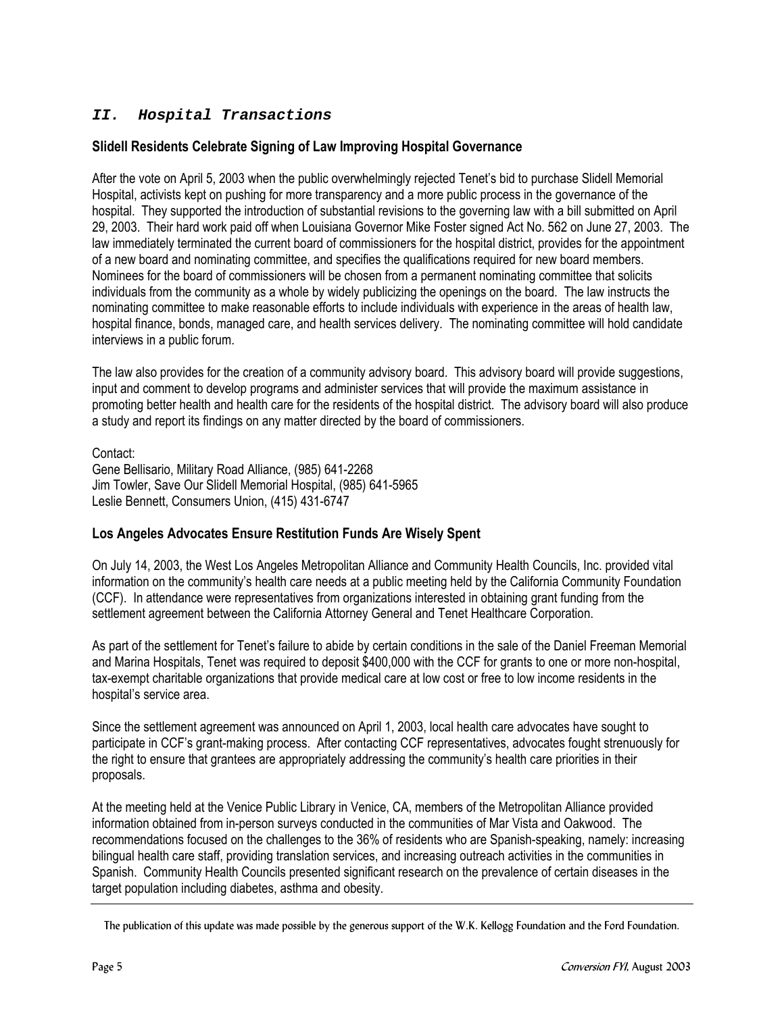# **II. Hospital Transactions**

## **Slidell Residents Celebrate Signing of Law Improving Hospital Governance**

After the vote on April 5, 2003 when the public overwhelmingly rejected Tenet's bid to purchase Slidell Memorial Hospital, activists kept on pushing for more transparency and a more public process in the governance of the hospital. They supported the introduction of substantial revisions to the governing law with a bill submitted on April 29, 2003. Their hard work paid off when Louisiana Governor Mike Foster signed Act No. 562 on June 27, 2003. The law immediately terminated the current board of commissioners for the hospital district, provides for the appointment of a new board and nominating committee, and specifies the qualifications required for new board members. Nominees for the board of commissioners will be chosen from a permanent nominating committee that solicits individuals from the community as a whole by widely publicizing the openings on the board. The law instructs the nominating committee to make reasonable efforts to include individuals with experience in the areas of health law, hospital finance, bonds, managed care, and health services delivery. The nominating committee will hold candidate interviews in a public forum.

The law also provides for the creation of a community advisory board. This advisory board will provide suggestions, input and comment to develop programs and administer services that will provide the maximum assistance in promoting better health and health care for the residents of the hospital district. The advisory board will also produce a study and report its findings on any matter directed by the board of commissioners.

Contact:

Gene Bellisario, Military Road Alliance, (985) 641-2268 Jim Towler, Save Our Slidell Memorial Hospital, (985) 641-5965 Leslie Bennett, Consumers Union, (415) 431-6747

## **Los Angeles Advocates Ensure Restitution Funds Are Wisely Spent**

On July 14, 2003, the West Los Angeles Metropolitan Alliance and Community Health Councils, Inc. provided vital information on the community's health care needs at a public meeting held by the California Community Foundation (CCF). In attendance were representatives from organizations interested in obtaining grant funding from the settlement agreement between the California Attorney General and Tenet Healthcare Corporation.

As part of the settlement for Tenet's failure to abide by certain conditions in the sale of the Daniel Freeman Memorial and Marina Hospitals, Tenet was required to deposit \$400,000 with the CCF for grants to one or more non-hospital, tax-exempt charitable organizations that provide medical care at low cost or free to low income residents in the hospital's service area.

Since the settlement agreement was announced on April 1, 2003, local health care advocates have sought to participate in CCF's grant-making process. After contacting CCF representatives, advocates fought strenuously for the right to ensure that grantees are appropriately addressing the community's health care priorities in their proposals.

At the meeting held at the Venice Public Library in Venice, CA, members of the Metropolitan Alliance provided information obtained from in-person surveys conducted in the communities of Mar Vista and Oakwood. The recommendations focused on the challenges to the 36% of residents who are Spanish-speaking, namely: increasing bilingual health care staff, providing translation services, and increasing outreach activities in the communities in Spanish. Community Health Councils presented significant research on the prevalence of certain diseases in the target population including diabetes, asthma and obesity.

The publication of this update was made possible by the generous support of the W.K. Kellogg Foundation and the Ford Foundation.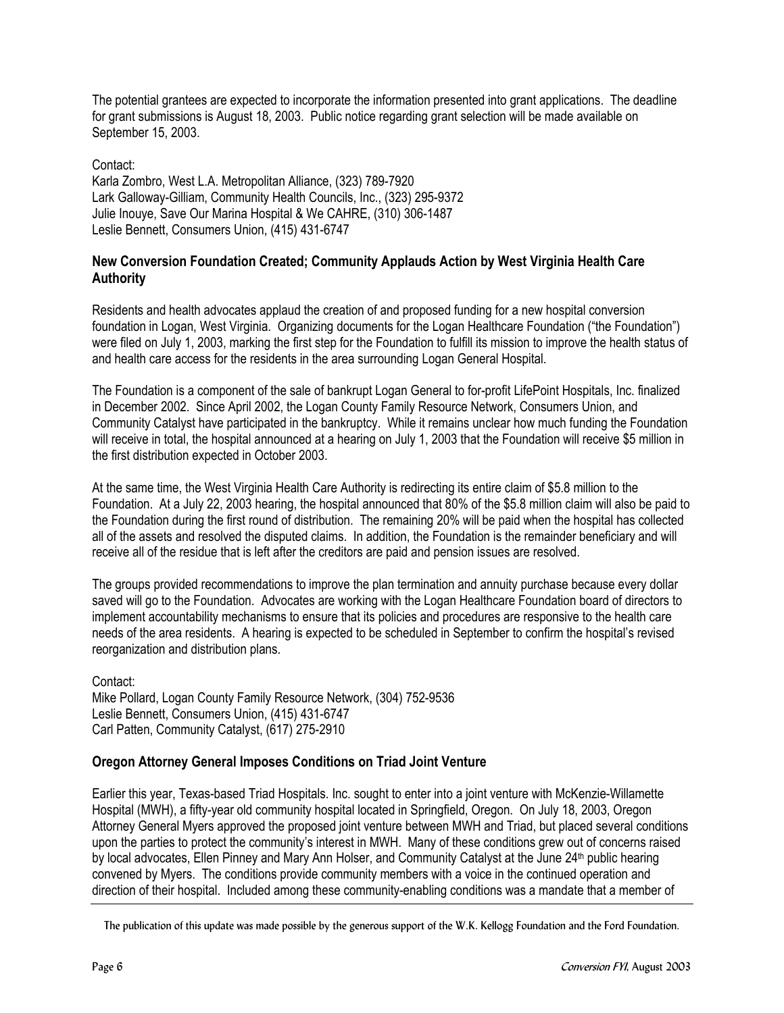The potential grantees are expected to incorporate the information presented into grant applications. The deadline for grant submissions is August 18, 2003. Public notice regarding grant selection will be made available on September 15, 2003.

Contact: Karla Zombro, West L.A. Metropolitan Alliance, (323) 789-7920 Lark Galloway-Gilliam, Community Health Councils, Inc., (323) 295-9372 Julie Inouye, Save Our Marina Hospital & We CAHRE, (310) 306-1487 Leslie Bennett, Consumers Union, (415) 431-6747

## **New Conversion Foundation Created; Community Applauds Action by West Virginia Health Care Authority**

Residents and health advocates applaud the creation of and proposed funding for a new hospital conversion foundation in Logan, West Virginia. Organizing documents for the Logan Healthcare Foundation ("the Foundation") were filed on July 1, 2003, marking the first step for the Foundation to fulfill its mission to improve the health status of and health care access for the residents in the area surrounding Logan General Hospital.

The Foundation is a component of the sale of bankrupt Logan General to for-profit LifePoint Hospitals, Inc. finalized in December 2002. Since April 2002, the Logan County Family Resource Network, Consumers Union, and Community Catalyst have participated in the bankruptcy. While it remains unclear how much funding the Foundation will receive in total, the hospital announced at a hearing on July 1, 2003 that the Foundation will receive \$5 million in the first distribution expected in October 2003.

At the same time, the West Virginia Health Care Authority is redirecting its entire claim of \$5.8 million to the Foundation. At a July 22, 2003 hearing, the hospital announced that 80% of the \$5.8 million claim will also be paid to the Foundation during the first round of distribution. The remaining 20% will be paid when the hospital has collected all of the assets and resolved the disputed claims. In addition, the Foundation is the remainder beneficiary and will receive all of the residue that is left after the creditors are paid and pension issues are resolved.

The groups provided recommendations to improve the plan termination and annuity purchase because every dollar saved will go to the Foundation. Advocates are working with the Logan Healthcare Foundation board of directors to implement accountability mechanisms to ensure that its policies and procedures are responsive to the health care needs of the area residents. A hearing is expected to be scheduled in September to confirm the hospital's revised reorganization and distribution plans.

Contact: Mike Pollard, Logan County Family Resource Network, (304) 752-9536 Leslie Bennett, Consumers Union, (415) 431-6747 Carl Patten, Community Catalyst, (617) 275-2910

## **Oregon Attorney General Imposes Conditions on Triad Joint Venture**

Earlier this year, Texas-based Triad Hospitals. Inc. sought to enter into a joint venture with McKenzie-Willamette Hospital (MWH), a fifty-year old community hospital located in Springfield, Oregon. On July 18, 2003, Oregon Attorney General Myers approved the proposed joint venture between MWH and Triad, but placed several conditions upon the parties to protect the community's interest in MWH. Many of these conditions grew out of concerns raised by local advocates, Ellen Pinney and Mary Ann Holser, and Community Catalyst at the June 24<sup>th</sup> public hearing convened by Myers. The conditions provide community members with a voice in the continued operation and direction of their hospital. Included among these community-enabling conditions was a mandate that a member of

The publication of this update was made possible by the generous support of the W.K. Kellogg Foundation and the Ford Foundation.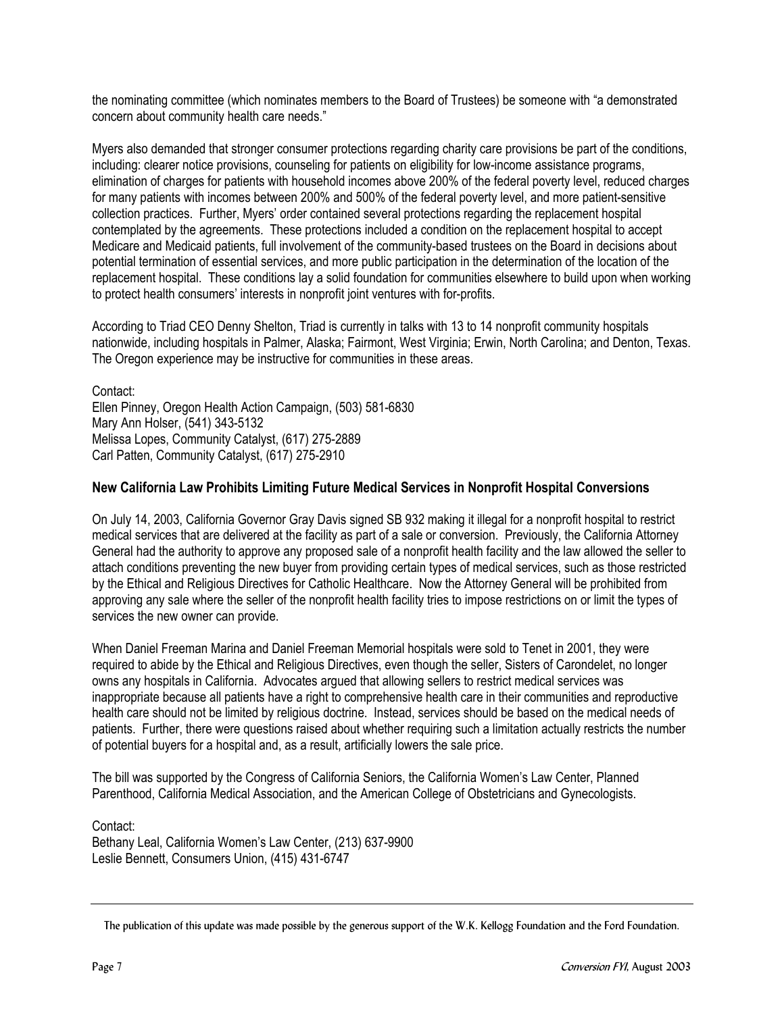the nominating committee (which nominates members to the Board of Trustees) be someone with "a demonstrated concern about community health care needs."

Myers also demanded that stronger consumer protections regarding charity care provisions be part of the conditions, including: clearer notice provisions, counseling for patients on eligibility for low-income assistance programs, elimination of charges for patients with household incomes above 200% of the federal poverty level, reduced charges for many patients with incomes between 200% and 500% of the federal poverty level, and more patient-sensitive collection practices. Further, Myers' order contained several protections regarding the replacement hospital contemplated by the agreements. These protections included a condition on the replacement hospital to accept Medicare and Medicaid patients, full involvement of the community-based trustees on the Board in decisions about potential termination of essential services, and more public participation in the determination of the location of the replacement hospital. These conditions lay a solid foundation for communities elsewhere to build upon when working to protect health consumers' interests in nonprofit joint ventures with for-profits.

According to Triad CEO Denny Shelton, Triad is currently in talks with 13 to 14 nonprofit community hospitals nationwide, including hospitals in Palmer, Alaska; Fairmont, West Virginia; Erwin, North Carolina; and Denton, Texas. The Oregon experience may be instructive for communities in these areas.

Contact: Ellen Pinney, Oregon Health Action Campaign, (503) 581-6830 Mary Ann Holser, (541) 343-5132 Melissa Lopes, Community Catalyst, (617) 275-2889 Carl Patten, Community Catalyst, (617) 275-2910

## **New California Law Prohibits Limiting Future Medical Services in Nonprofit Hospital Conversions**

On July 14, 2003, California Governor Gray Davis signed SB 932 making it illegal for a nonprofit hospital to restrict medical services that are delivered at the facility as part of a sale or conversion. Previously, the California Attorney General had the authority to approve any proposed sale of a nonprofit health facility and the law allowed the seller to attach conditions preventing the new buyer from providing certain types of medical services, such as those restricted by the Ethical and Religious Directives for Catholic Healthcare. Now the Attorney General will be prohibited from approving any sale where the seller of the nonprofit health facility tries to impose restrictions on or limit the types of services the new owner can provide.

When Daniel Freeman Marina and Daniel Freeman Memorial hospitals were sold to Tenet in 2001, they were required to abide by the Ethical and Religious Directives, even though the seller, Sisters of Carondelet, no longer owns any hospitals in California. Advocates argued that allowing sellers to restrict medical services was inappropriate because all patients have a right to comprehensive health care in their communities and reproductive health care should not be limited by religious doctrine. Instead, services should be based on the medical needs of patients. Further, there were questions raised about whether requiring such a limitation actually restricts the number of potential buyers for a hospital and, as a result, artificially lowers the sale price.

The bill was supported by the Congress of California Seniors, the California Women's Law Center, Planned Parenthood, California Medical Association, and the American College of Obstetricians and Gynecologists.

Contact:

Bethany Leal, California Women's Law Center, (213) 637-9900 Leslie Bennett, Consumers Union, (415) 431-6747

The publication of this update was made possible by the generous support of the W.K. Kellogg Foundation and the Ford Foundation.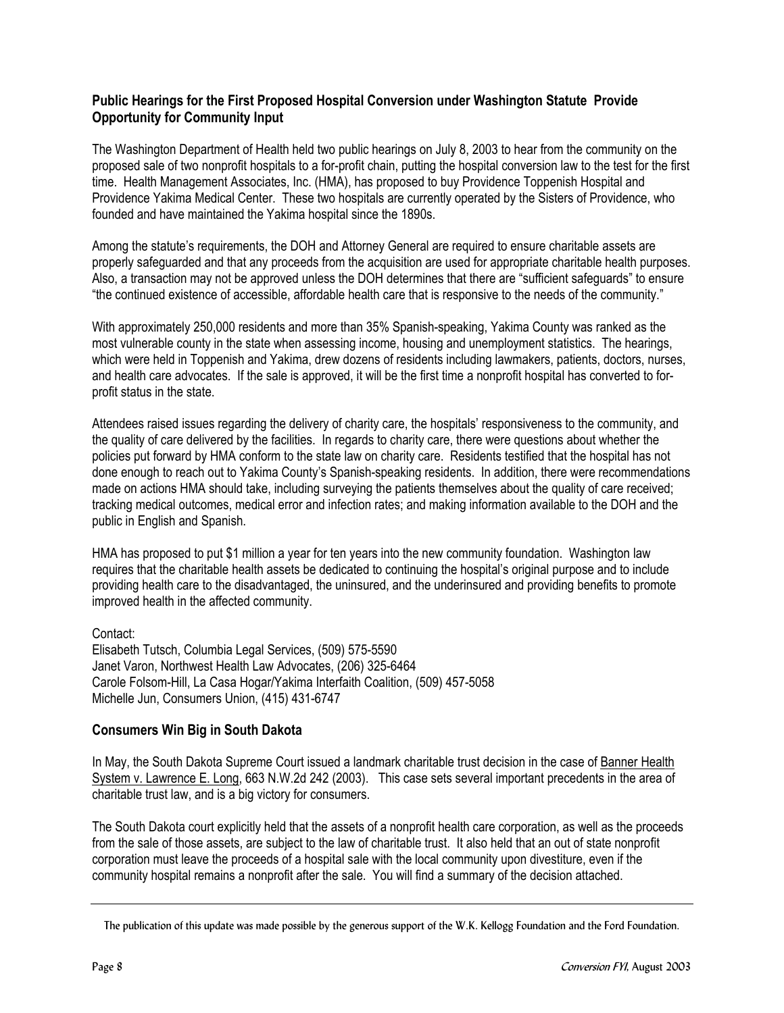## **Public Hearings for the First Proposed Hospital Conversion under Washington Statute Provide Opportunity for Community Input**

The Washington Department of Health held two public hearings on July 8, 2003 to hear from the community on the proposed sale of two nonprofit hospitals to a for-profit chain, putting the hospital conversion law to the test for the first time. Health Management Associates, Inc. (HMA), has proposed to buy Providence Toppenish Hospital and Providence Yakima Medical Center. These two hospitals are currently operated by the Sisters of Providence, who founded and have maintained the Yakima hospital since the 1890s.

Among the statute's requirements, the DOH and Attorney General are required to ensure charitable assets are properly safeguarded and that any proceeds from the acquisition are used for appropriate charitable health purposes. Also, a transaction may not be approved unless the DOH determines that there are "sufficient safeguards" to ensure "the continued existence of accessible, affordable health care that is responsive to the needs of the community."

With approximately 250,000 residents and more than 35% Spanish-speaking, Yakima County was ranked as the most vulnerable county in the state when assessing income, housing and unemployment statistics. The hearings, which were held in Toppenish and Yakima, drew dozens of residents including lawmakers, patients, doctors, nurses, and health care advocates. If the sale is approved, it will be the first time a nonprofit hospital has converted to forprofit status in the state.

Attendees raised issues regarding the delivery of charity care, the hospitals' responsiveness to the community, and the quality of care delivered by the facilities. In regards to charity care, there were questions about whether the policies put forward by HMA conform to the state law on charity care. Residents testified that the hospital has not done enough to reach out to Yakima County's Spanish-speaking residents. In addition, there were recommendations made on actions HMA should take, including surveying the patients themselves about the quality of care received; tracking medical outcomes, medical error and infection rates; and making information available to the DOH and the public in English and Spanish.

HMA has proposed to put \$1 million a year for ten years into the new community foundation. Washington law requires that the charitable health assets be dedicated to continuing the hospital's original purpose and to include providing health care to the disadvantaged, the uninsured, and the underinsured and providing benefits to promote improved health in the affected community.

Contact: Elisabeth Tutsch, Columbia Legal Services, (509) 575-5590 Janet Varon, Northwest Health Law Advocates, (206) 325-6464 Carole Folsom-Hill, La Casa Hogar/Yakima Interfaith Coalition, (509) 457-5058 Michelle Jun, Consumers Union, (415) 431-6747

## **Consumers Win Big in South Dakota**

In May, the South Dakota Supreme Court issued a landmark charitable trust decision in the case of Banner Health System v. Lawrence E. Long, 663 N.W.2d 242 (2003). This case sets several important precedents in the area of charitable trust law, and is a big victory for consumers.

The South Dakota court explicitly held that the assets of a nonprofit health care corporation, as well as the proceeds from the sale of those assets, are subject to the law of charitable trust. It also held that an out of state nonprofit corporation must leave the proceeds of a hospital sale with the local community upon divestiture, even if the community hospital remains a nonprofit after the sale. You will find a summary of the decision attached.

The publication of this update was made possible by the generous support of the W.K. Kellogg Foundation and the Ford Foundation.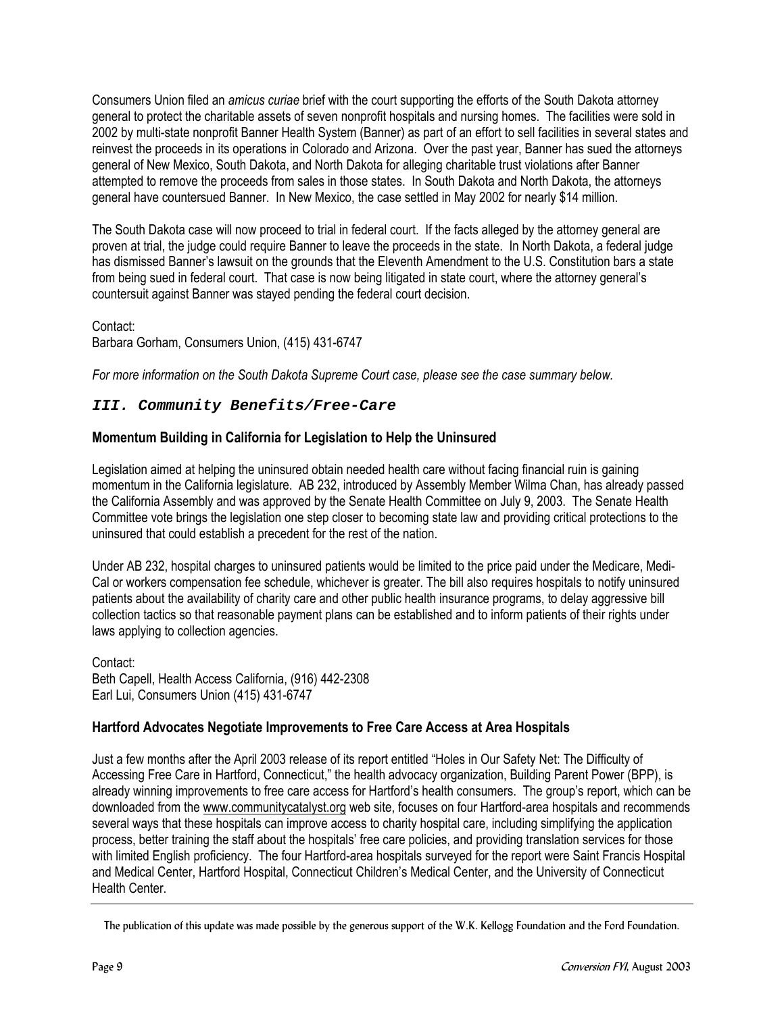Consumers Union filed an *amicus curiae* brief with the court supporting the efforts of the South Dakota attorney general to protect the charitable assets of seven nonprofit hospitals and nursing homes. The facilities were sold in 2002 by multi-state nonprofit Banner Health System (Banner) as part of an effort to sell facilities in several states and reinvest the proceeds in its operations in Colorado and Arizona. Over the past year, Banner has sued the attorneys general of New Mexico, South Dakota, and North Dakota for alleging charitable trust violations after Banner attempted to remove the proceeds from sales in those states. In South Dakota and North Dakota, the attorneys general have countersued Banner. In New Mexico, the case settled in May 2002 for nearly \$14 million.

The South Dakota case will now proceed to trial in federal court. If the facts alleged by the attorney general are proven at trial, the judge could require Banner to leave the proceeds in the state. In North Dakota, a federal judge has dismissed Banner's lawsuit on the grounds that the Eleventh Amendment to the U.S. Constitution bars a state from being sued in federal court. That case is now being litigated in state court, where the attorney general's countersuit against Banner was stayed pending the federal court decision.

Contact: Barbara Gorham, Consumers Union, (415) 431-6747

*For more information on the South Dakota Supreme Court case, please see the case summary below.*

## **III. Community Benefits/Free-Care**

## **Momentum Building in California for Legislation to Help the Uninsured**

Legislation aimed at helping the uninsured obtain needed health care without facing financial ruin is gaining momentum in the California legislature. AB 232, introduced by Assembly Member Wilma Chan, has already passed the California Assembly and was approved by the Senate Health Committee on July 9, 2003. The Senate Health Committee vote brings the legislation one step closer to becoming state law and providing critical protections to the uninsured that could establish a precedent for the rest of the nation.

Under AB 232, hospital charges to uninsured patients would be limited to the price paid under the Medicare, Medi-Cal or workers compensation fee schedule, whichever is greater. The bill also requires hospitals to notify uninsured patients about the availability of charity care and other public health insurance programs, to delay aggressive bill collection tactics so that reasonable payment plans can be established and to inform patients of their rights under laws applying to collection agencies.

Contact: Beth Capell, Health Access California, (916) 442-2308 Earl Lui, Consumers Union (415) 431-6747

## **Hartford Advocates Negotiate Improvements to Free Care Access at Area Hospitals**

Just a few months after the April 2003 release of its report entitled "Holes in Our Safety Net: The Difficulty of Accessing Free Care in Hartford, Connecticut," the health advocacy organization, Building Parent Power (BPP), is already winning improvements to free care access for Hartford's health consumers. The group's report, which can be downloaded from the [www.communitycatalyst.org w](http://www.communitycatalyst.org/)eb site, focuses on four Hartford-area hospitals and recommends several ways that these hospitals can improve access to charity hospital care, including simplifying the application process, better training the staff about the hospitals' free care policies, and providing translation services for those with limited English proficiency. The four Hartford-area hospitals surveyed for the report were Saint Francis Hospital and Medical Center, Hartford Hospital, Connecticut Children's Medical Center, and the University of Connecticut Health Center.

The publication of this update was made possible by the generous support of the W.K. Kellogg Foundation and the Ford Foundation.